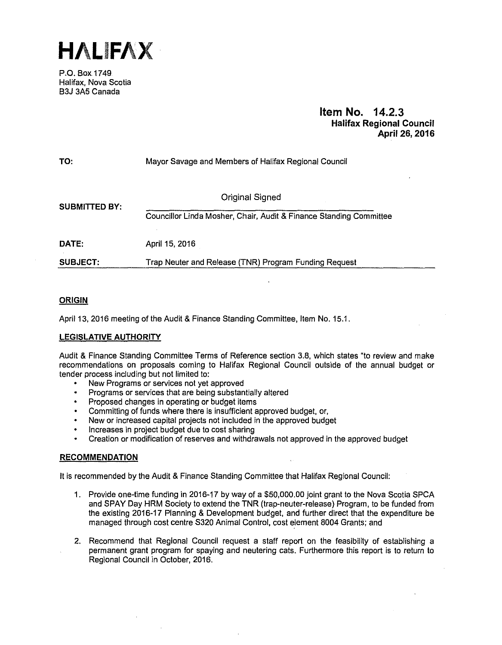**HALIFAX** 

P.O. Box 1749. Halifax, Nova Scotia B3J 3A5 Canada

## **Item No. 14.2.3 Halifax Regional Council April 26, 2016**

| TO:                  | Mayor Savage and Members of Halifax Regional Council               |
|----------------------|--------------------------------------------------------------------|
| <b>SUBMITTED BY:</b> | Original Signed                                                    |
|                      | Councillor Linda Mosher, Chair, Audit & Finance Standing Committee |
| DATE.                | April 15, 2016                                                     |
| <b>SUBJECT:</b>      | Trap Neuter and Release (TNR) Program Funding Request              |

## **ORIGIN**

April 13, 2016 meeting of the Audit & Finance Standing Committee, Item No. 15.1.

## **LEGISLATIVE AUTHORITY**

Audit & Finance Standing Committee Terms of Reference section 3.8, which states "to review and make recommendations on proposals coming to Halifax Regional Council outside of the annual budget or tender process including but not limited to:

- New Programs or services not yet approved
- Programs or services that are being substantially altered
- Proposed changes in operating or budget items
- Committing of funds where there is insufficient approved budget, or,
- New or increased capital projects not included in the approved budget
- Increases in project budget due to cost sharing
- Creation or modification of reserves and withdrawals not approved in the approved budget

#### **RECOMMENDATION**

It is recommended by the Audit & Finance Standing Committee that Halifax Regional Council:

- 1. Provide one-time funding in 2016-17 by way of a \$50,000.00 joint grant to the Nova Scotia SPCA and SPAY Day HRM Society to extend the TNR (trap-neuter-release) Program, to be funded from the existing 2016-17 Planning & Development budget, and further direct that the expenditure be managed through cost centre S320 Animal Control, cost element 8004 Grants; and
- 2. Recommend that Regional Council request a staff report on the feasibility of establishing a permanent grant program for spaying and neutering cats. Furthermore this report is to return to Regional Council in October, 2016.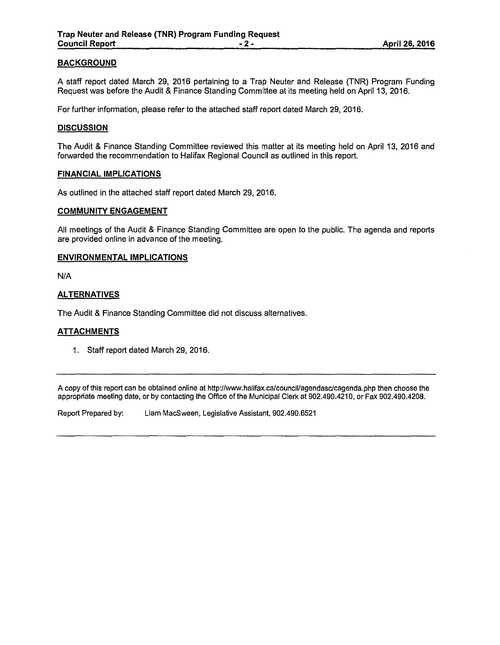## **BACKGROUND**

A staff report dated March 29, 2016 pertaining to a Trap Neuter and Release (TNR) Program Funding Request was before the Audit & Finance Standing Committee at its meeting held on April 13, 2016.

For further information, please refer to the attached staff report dated March 29, 2016.

### **DISCUSSION**

The Audit & Finance Standing Committee reviewed this matter at its meeting held on April 13, 2016 and forwarded the recommendation to Halifax Regional Council as outlined in this report.

#### **FINANCIAL IMPLICATIONS**

As outlined in the attached staff report dated March 29, 2016.

### **COMMUNITY ENGAGEMENT**

All meetings of the Audit & Finance Standing Committee are open to the public. The agenda and reports are provided online in advance of the meeting.

### **ENVIRONMENTAL IMPLICATIONS**

N/A

## **ALTERNATIVES**

The Audit & Finance Standing Committee did not discuss alternatives.

## **ATTACHMENTS**

1. Staff report dated March 29, 2016.

A copy of this report can be obtained online at http://www.halifax.ca/council/agendasclcagenda.php then choose the appropriate meeting date, or by contacting the Office of the Municipal Clerk at 902.490.4210, or Fax 902.490.4208.

Report Prepared by: Liam MacSween, Legislative Assistant, 902.490.6521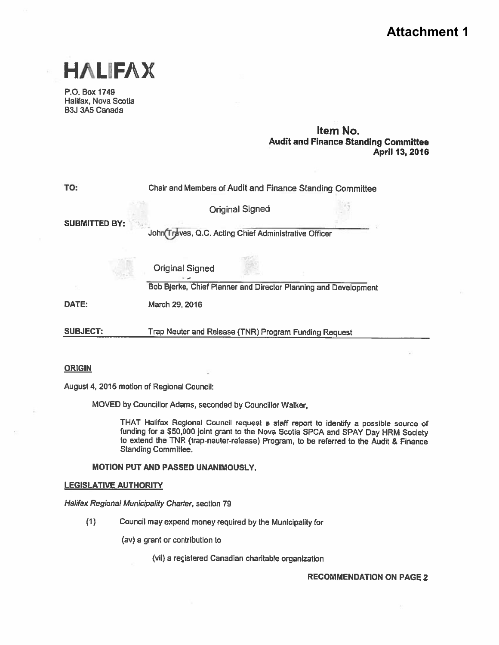# **Attachment 1**



P.O. Box 1749 Halifax, Nova Scotia B3J 3A5 Canada

## Item No. Audit and Finance Standing Committee April 13, 2016

TO: Chair and Members of Audit and Finance Standing Committee Original Signed SUBMITTED BY: John Traves, Q.C. Acting Chief Administrative Officer Original Signed Bob Bjerke, Chief Planner and Director Planning and Development DATE: March 29, 2016

SUBJECT: Trap Neuter and Release (TNR) Program Funding Request

#### ORIGIN

August 4, 2015 motion of Regional Council:

MOVED by Councillor Adams, seconded by Councillor Walker,

THAT Halifax Regional Council request <sup>a</sup> staff repor<sup>t</sup> to identify <sup>a</sup> possible source of funding for <sup>a</sup> \$50,000 joint gran<sup>t</sup> to the Nova Scotia SPCA and SPAY Day HRM Society to extend the TNR (trap-neuter-release) Program, to be referred to the Audit & Finance Standing Committee.

### MOTION PUT AND PASSED UNANIMOUSLY.

#### LEGISLATIVE AUTHORITY

Halifax Regional Municipality Charter, section 79

(1) Council may expend money required by the Municipality for

(av) <sup>a</sup> gran<sup>t</sup> or contribution to

(vii) <sup>a</sup> registered Canadian charitable organization

RECOMMENDATION ON PAGE 2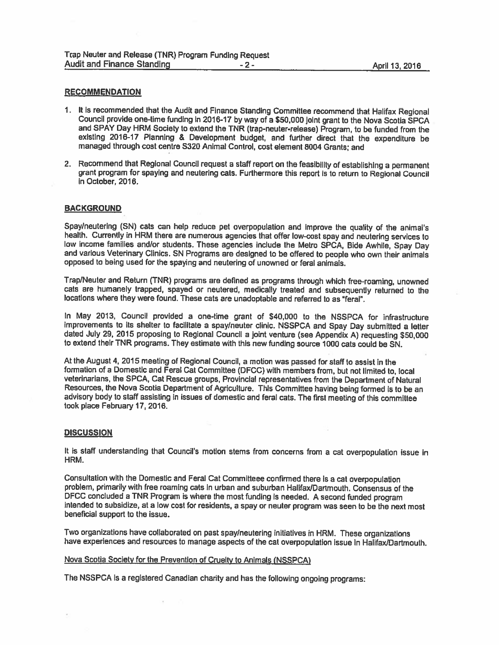#### **RECOMMENDATION**

- <sup>1</sup> It is recommended that the Audit and Finance Standing Committee recommend that Halifax Regional Council provide one-time funding In 2016-17 by way of <sup>a</sup> \$50,000 joint gran<sup>t</sup> to the Nova Scotia SPCA and SPAY Day HRM Society to extend the TNR (trap-neuter-release) Program, to be funded from the exIsting 2016-17 Planning & Development budget, and further direct that the expenditure be managed through cast centre 5320 Animal Control, cost element 8004 Grants; and
- 2. Recommend that Regional Council request <sup>a</sup> staff repor<sup>t</sup> on the feasibility of establishing <sup>a</sup> permanent gran<sup>t</sup> program for spaying and neutering cats. Furthermore this repor<sup>t</sup> is to return to Regional Council in October, 2016.

#### BACKGROUND

Spay/neutering (SN) cats can help reduce pe<sup>t</sup> overpopulation and improve the quality of the animal's health. Currently in HRM there are numerous agencies that offer low-cost spay and neutering services to low income families and/or students. These agencies include the Metro SPCA, Bide Awhile, Spay Day and various Veterinary Clinics. SN Programs are designed to be offered to people who own their animals opposed to being used for the spaying and neutering of unowned or feral animals.

Trap/Neuter and Return (TNR) programs are defined as programs through which free-roaming, unowned cats are humanely trapped, spayed or neutered, medically treated and subsequently returned to the locations where they were found. These cats are unadoptable and referred to as "feral".

In May 2013, Council provided <sup>a</sup> one-time gran<sup>t</sup> of \$40,000 to the NSSPCA for infrastructure improvements to its shelter to facilitate a spay/neuter clinic. NSSPCA and Spay Day submitted a letter dated July 29, <sup>2015</sup> proposing to Regional Council <sup>a</sup> joint venture (see Appendix A) requesting \$50,000 to extend their TNR programs. They estimate with this new funding source <sup>1000</sup> cats could be SN.

At the August 4, <sup>2015</sup> meeting of Regional Council, <sup>a</sup> motion was passed for staff to assist in the formation of <sup>a</sup> Domestic and Feral Cat Committee (DFCC) with members from, but not limited to, local veterinarians, the SPCA, Cat Rescue groups, Provincial representatives from the Department of Natural Resources, the Nova Scotia Department of Agriculture. This Committee having being formed is to be an advisory body to staff assisting in issues of domestic and feral cats. The first meeting of this committee took place February 17, 2016.

#### **DISCUSSION**

It is staff understanding that Council's motion stems from concerns from a cat overpopulation issue in HRM.

Consultation with the Domestic and Feral Cat Committeee confirmed there is <sup>a</sup> cat overpopulation problem, primarily with free roaming cats in urban and suburban Halifax/Dartmouth. Consensus of the DFCC concluded <sup>a</sup> TNR Program is where the most funding is needed. <sup>A</sup> second funded program intended to subsidize, at <sup>a</sup> low cost for residents, <sup>a</sup> spay or neuter program was seen to be the next most beneficial suppor<sup>t</sup> to the issue.

Two organizations have collaborated on past spay/neutering initiatives in HRM. These organizations have experiences and resources to manage aspects of the cat overpopulation issue in Halifax/Dartmouth.

#### Nova Scotia Society for the Prevention of Cruelty to Animals (NSSPCA)

The NSSPCA Is <sup>a</sup> registered Canadian charity and has the following ongoing programs: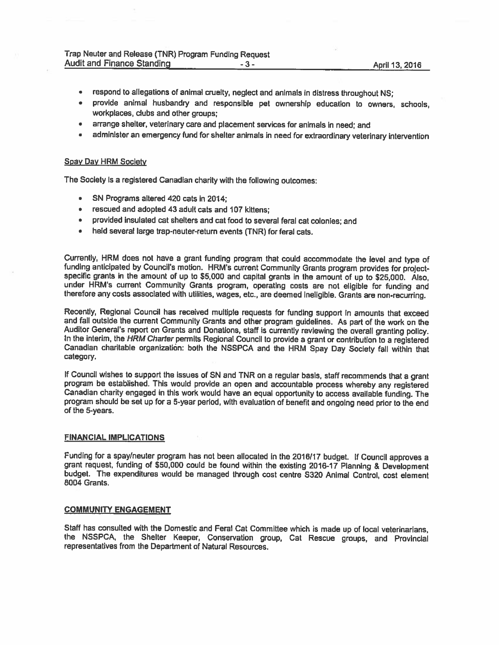- respond to allegations of animal cruelty, neglect and animals in distress throughout NS;  $\bullet$
- provide animal husbandry and responsible pet ownership education to owners, schools,  $\bullet$ workplaces, clubs and other groups;
- arrange shelter, veterinary care and <sup>p</sup>lacement services for animals in need; and  $\bullet$
- administer an emergency fund for shelter animals in need for extraordinary veterinary intervention

#### Spay Day HRM Society

The Society is <sup>a</sup> registered Canadian charity with the following outcomes:

- $\bullet$ SN Programs altered 420 cats in 2014;
- rescued and adopted 43 adult cats and 107 kittens;  $\blacksquare$
- provided insulated cat shelters and cat food to several feral cat colonies; and ٠.
- held several large trap-neuter-return events (TNR) for feral cats.  $\bullet$

Currently, HRM does not have a grant funding program that could accommodate the level and type of funding anticipated by Council's motion. HRM's current Community Grants program provides for project-specific grants in the under HRM's current Community Grants program, operating costs are not eligible for funding and therefore any costs associated with utilities, wages, etc., are deemed ineligible. Grants are non-recurring.

Recently, Regional Council has received multiple requests for funding support in amounts that exceed and fall outside the current Community Grants and other program guidelines. As part of the work on the Auditor General's report on Grants and Donations, staff is currently reviewing the overall granting policy.<br>In the interim, the HRM Charter permits Regional Council to provide a grant or contribution to a registered Canadian charitable organization: both the NSSPCA and the HRM Spay Day Society fall within that category.

If Council wishes to support the issues of SN and TNR on a regular basis, staff recommends that a grant program be established. This would provide an open and accountable process whereby any registered Canadian charity engaged in this work would have an equal opportunity to access available funding. The program should be set up for <sup>a</sup> 5-year period, with evaluation of benefit and ongoing need prior to the end of the 5-years.

#### FINANCIAL IMPLICATIONS

Funding for a spay/neuter program has not been allocated in the 2016/17 budget. If Council approves a grant request, funding of \$50,000 could be found within the existing 2016-17 Planning & Development budget. The expenditures would be managed through cost centre S320 Animal Control, cost element 8004 Grants.

#### COMMUNITY ENGAGEMENT

Staff has consulted with the Domestic and Feral Cat Committee which is made up of local veterinarians, the NSSPCA, the Shelter Keeper, Conservation group, Cat Rescue groups, and Provincial representatives from the Department of Natural Resources.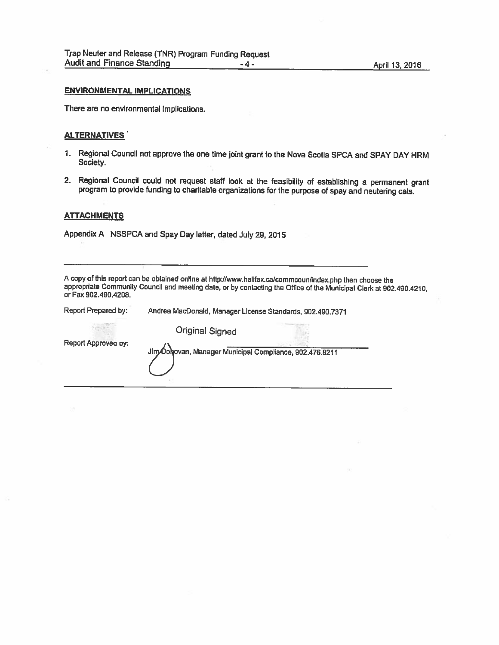## ENVIRONMENTAL IMPLICATIONS

There are no environmental implications.

#### ALTERNATIVES

- 1, Regional Council not approve the one time joint grant to the Nova Scotia SPCA and SPAY DAY HRM Society.
- 2. Regional Council could not request staff look at the feasibility of establishing <sup>a</sup> permanent grant program to provide funding to charitable organizations for the purpose of spay and neutering cats.

#### **ATTACHMENTS**

Appendix A NSSPCA and Spay Day letter, dated July 29, 2015

A copy of this report can be obtained online at http://www.halifax.ca/commcoun/index.php then choose the appropriate Community Council and meeting date, or by contacting the Office of the Municipal Clerk at 902.490.4210, or Fax 902.490.4208.

| Report Prepared by: | Andrea MacDonald, Manager License Standards, 902.490.7371 |
|---------------------|-----------------------------------------------------------|
|                     | <b>Original Signed</b>                                    |
| Report Approved by: | Jim Oohovan, Manager Municipal Compliance, 902.476.8211   |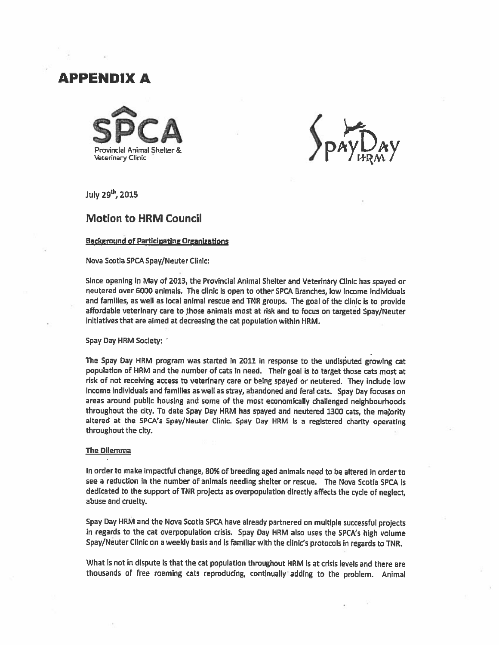# APPENDIX A



July  $29<sup>th</sup>$ , 2015

## Motion to HRM Council

## Background of Participating Organizations

#### Nova Scotia SPCASpay/Neuter Clinic:

Since opening in May of 2013, the Provincial Animal Shelter and Veterinary Clinic has spaye<sup>d</sup> or neutered over 6000 animals. The clinic is open to other SPCA Branches, low income individuals and families, as well as local animal rescue and ThR groups. The goa<sup>l</sup> of the clinic is to provide affordable veterinary care to those animals most at risk and to focus on targeted Spay/Neuter initiatives that are aimed at decreasing the cat population within HRM.

Spay Day HRM Society:

The Spay Day HRM program was started in 2011 in response to the undisputed growing cat population of HRM and the number of cats in need. Their goa<sup>l</sup> is to target those cats most at risk of not receiving access to veterinary care or being spaye<sup>d</sup> or neutered. They include low Income individuals and families as well as stray, abandoned and feral cats. Spay Day focuses on areas around public housing and some of the most economically challenged nelghbourhoods throughout the city. To date Spay Day HRM has spaye<sup>d</sup> and neutered <sup>1300</sup> cats, the majority altered at the SPCA's Spay/Neuter Clinic. Spay Day HRM is a registered charity operating throughout the city.

#### The Dilemma

in order to make impactful change, 80% of breeding aged animals need to be altered in order to see <sup>a</sup> reduction in the number of animals needing shelter or rescue. The Nova Scotia SPCA is dedicated to the support of TNR projects as overpopulation directly affects the cycle of neglect abuse and cruelty.

Spay Day HRM and the Nova Scotia SPCA have already partnered on multiple successful projects in regards to the cat overpopulation crisis. Spay Day HRM also uses the SPCA's high volume Spay/Neuter Clinic on <sup>a</sup> weekly basis and is familiar with the clinic's protocols in regards to TNR.

What is not in dispute is that the cat population throughout HRM is at crisis levels and there are thousands of free roaming cats reproducing, continually adding to the problem. Animal